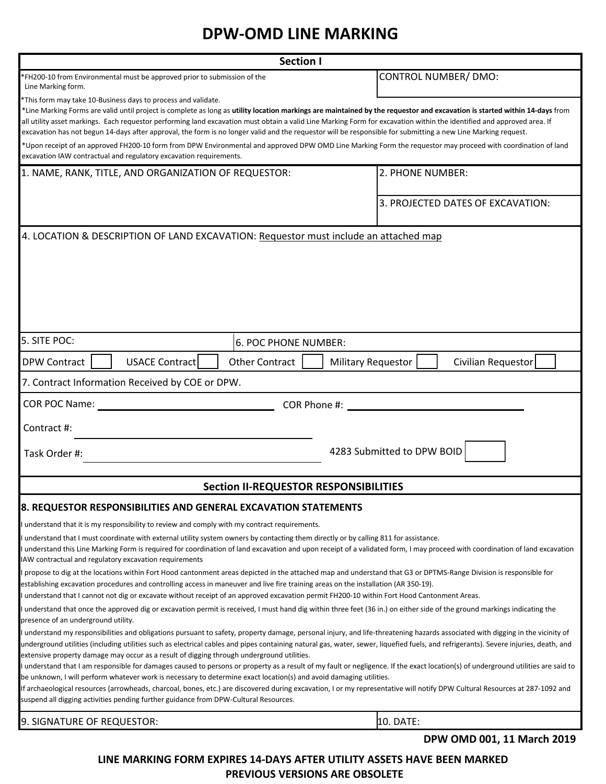## **DPW-OMD LINE MARKING**

| <b>Section I</b>                                                                                                                                                                                                                                                                                                                                                                                                                                                                                                                                                                                                                                                                                                                                                                                                                                                                                                                                                                                                                                                                         |                                                 |
|------------------------------------------------------------------------------------------------------------------------------------------------------------------------------------------------------------------------------------------------------------------------------------------------------------------------------------------------------------------------------------------------------------------------------------------------------------------------------------------------------------------------------------------------------------------------------------------------------------------------------------------------------------------------------------------------------------------------------------------------------------------------------------------------------------------------------------------------------------------------------------------------------------------------------------------------------------------------------------------------------------------------------------------------------------------------------------------|-------------------------------------------------|
| *FH200-10 from Environmental must be approved prior to submission of the<br>Line Marking form.                                                                                                                                                                                                                                                                                                                                                                                                                                                                                                                                                                                                                                                                                                                                                                                                                                                                                                                                                                                           | CONTROL NUMBER/ DMO:                            |
| *This form may take 10-Business days to process and validate.<br>*Line Marking Forms are valid until project is complete as long as utility location markings are maintained by the requestor and excavation is started within 14-days from<br>all utility asset markings. Each requestor performing land excavation must obtain a valid Line Marking Form for excavation within the identified and approved area. If<br>excavation has not begun 14-days after approval, the form is no longer valid and the requestor will be responsible for submitting a new Line Marking request.<br>*Upon receipt of an approved FH200-10 form from DPW Environmental and approved DPW OMD Line Marking Form the requestor may proceed with coordination of land<br>excavation IAW contractual and regulatory excavation requirements.                                                                                                                                                                                                                                                             |                                                 |
| 1. NAME, RANK, TITLE, AND ORGANIZATION OF REQUESTOR:                                                                                                                                                                                                                                                                                                                                                                                                                                                                                                                                                                                                                                                                                                                                                                                                                                                                                                                                                                                                                                     | 2. PHONE NUMBER:                                |
|                                                                                                                                                                                                                                                                                                                                                                                                                                                                                                                                                                                                                                                                                                                                                                                                                                                                                                                                                                                                                                                                                          |                                                 |
|                                                                                                                                                                                                                                                                                                                                                                                                                                                                                                                                                                                                                                                                                                                                                                                                                                                                                                                                                                                                                                                                                          | 3. PROJECTED DATES OF EXCAVATION:               |
| 4. LOCATION & DESCRIPTION OF LAND EXCAVATION: Requestor must include an attached map                                                                                                                                                                                                                                                                                                                                                                                                                                                                                                                                                                                                                                                                                                                                                                                                                                                                                                                                                                                                     |                                                 |
| 5. SITE POC:<br>6. POC PHONE NUMBER:                                                                                                                                                                                                                                                                                                                                                                                                                                                                                                                                                                                                                                                                                                                                                                                                                                                                                                                                                                                                                                                     |                                                 |
| USACE Contract<br><b>Other Contract</b><br><b>DPW Contract</b>                                                                                                                                                                                                                                                                                                                                                                                                                                                                                                                                                                                                                                                                                                                                                                                                                                                                                                                                                                                                                           | <b>Military Requestor</b><br>Civilian Requestor |
| 7. Contract Information Received by COE or DPW.                                                                                                                                                                                                                                                                                                                                                                                                                                                                                                                                                                                                                                                                                                                                                                                                                                                                                                                                                                                                                                          |                                                 |
| COR POC Name:                                                                                                                                                                                                                                                                                                                                                                                                                                                                                                                                                                                                                                                                                                                                                                                                                                                                                                                                                                                                                                                                            |                                                 |
| Contract #:                                                                                                                                                                                                                                                                                                                                                                                                                                                                                                                                                                                                                                                                                                                                                                                                                                                                                                                                                                                                                                                                              |                                                 |
| Task Order #:                                                                                                                                                                                                                                                                                                                                                                                                                                                                                                                                                                                                                                                                                                                                                                                                                                                                                                                                                                                                                                                                            | 4283 Submitted to DPW BOID                      |
| Section II-REQUESTOR RESPONSIBILITIES                                                                                                                                                                                                                                                                                                                                                                                                                                                                                                                                                                                                                                                                                                                                                                                                                                                                                                                                                                                                                                                    |                                                 |
| 8. REQUESTOR RESPONSIBILITIES AND GENERAL EXCAVATION STATEMENTS                                                                                                                                                                                                                                                                                                                                                                                                                                                                                                                                                                                                                                                                                                                                                                                                                                                                                                                                                                                                                          |                                                 |
| understand that it is my responsibility to review and comply with my contract requirements.                                                                                                                                                                                                                                                                                                                                                                                                                                                                                                                                                                                                                                                                                                                                                                                                                                                                                                                                                                                              |                                                 |
| understand that I must coordinate with external utility system owners by contacting them directly or by calling 811 for assistance.<br>understand this Line Marking Form is required for coordination of land excavation and upon receipt of a validated form, I may proceed with coordination of land excavation<br>AW contractual and regulatory excavation requirements                                                                                                                                                                                                                                                                                                                                                                                                                                                                                                                                                                                                                                                                                                               |                                                 |
| propose to dig at the locations within Fort Hood cantonment areas depicted in the attached map and understand that G3 or DPTMS-Range Division is responsible for<br>establishing excavation procedures and controlling access in maneuver and live fire training areas on the installation (AR 350-19).<br>understand that I cannot not dig or excavate without receipt of an approved excavation permit FH200-10 within Fort Hood Cantonment Areas.                                                                                                                                                                                                                                                                                                                                                                                                                                                                                                                                                                                                                                     |                                                 |
| understand that once the approved dig or excavation permit is received, I must hand dig within three feet (36 in.) on either side of the ground markings indicating the                                                                                                                                                                                                                                                                                                                                                                                                                                                                                                                                                                                                                                                                                                                                                                                                                                                                                                                  |                                                 |
| presence of an underground utility.<br>understand my responsibilities and obligations pursuant to safety, property damage, personal injury, and life-threatening hazards associated with digging in the vicinity of<br>underground utilities (including utilities such as electrical cables and pipes containing natural gas, water, sewer, liquefied fuels, and refrigerants). Severe injuries, death, and<br>extensive property damage may occur as a result of digging through underground utilities.<br>understand that I am responsible for damages caused to persons or property as a result of my fault or negligence. If the exact location(s) of underground utilities are said to<br>be unknown, I will perform whatever work is necessary to determine exact location(s) and avoid damaging utilities.<br>If archaeological resources (arrowheads, charcoal, bones, etc.) are discovered during excavation, I or my representative will notify DPW Cultural Resources at 287-1092 and<br>suspend all digging activities pending further guidance from DPW-Cultural Resources. |                                                 |
| 9. SIGNATURE OF REQUESTOR:                                                                                                                                                                                                                                                                                                                                                                                                                                                                                                                                                                                                                                                                                                                                                                                                                                                                                                                                                                                                                                                               | 10. DATE:                                       |
| DPW OMD 001, 11 March 2019                                                                                                                                                                                                                                                                                                                                                                                                                                                                                                                                                                                                                                                                                                                                                                                                                                                                                                                                                                                                                                                               |                                                 |

**LINE MARKING FORM EXPIRES 14-DAYS AFTER UTILITY ASSETS HAVE BEEN MARKED PREVIOUS VERSIONS ARE OBSOLETE**